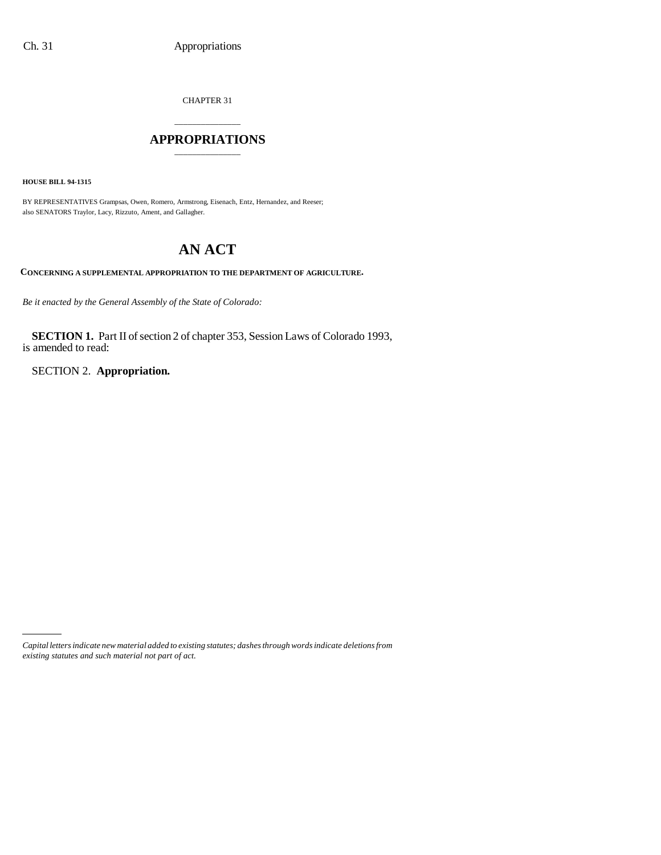CHAPTER 31

# \_\_\_\_\_\_\_\_\_\_\_\_\_\_\_ **APPROPRIATIONS** \_\_\_\_\_\_\_\_\_\_\_\_\_\_\_

**HOUSE BILL 94-1315**

BY REPRESENTATIVES Grampsas, Owen, Romero, Armstrong, Eisenach, Entz, Hernandez, and Reeser; also SENATORS Traylor, Lacy, Rizzuto, Ament, and Gallagher.

# **AN ACT**

**CONCERNING A SUPPLEMENTAL APPROPRIATION TO THE DEPARTMENT OF AGRICULTURE.**

*Be it enacted by the General Assembly of the State of Colorado:*

**SECTION 1.** Part II of section 2 of chapter 353, Session Laws of Colorado 1993, is amended to read:

SECTION 2. **Appropriation.**

*Capital letters indicate new material added to existing statutes; dashes through words indicate deletions from existing statutes and such material not part of act.*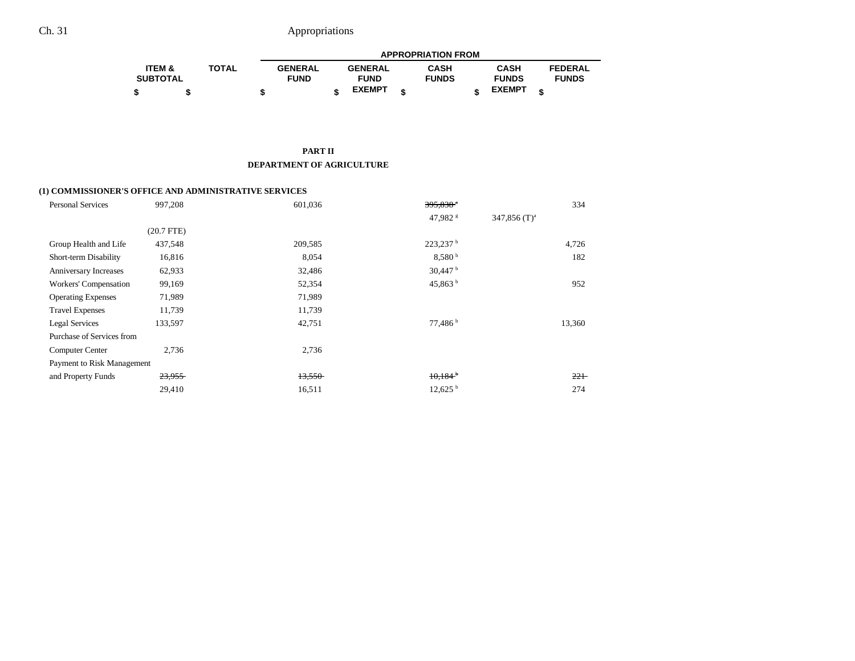# Ch. 31 Appropriations

|                   |              |                | <b>APPROPRIATION FROM</b> |                |  |              |  |               |   |                |  |  |
|-------------------|--------------|----------------|---------------------------|----------------|--|--------------|--|---------------|---|----------------|--|--|
| <b>ITEM &amp;</b> | <b>TOTAL</b> | <b>GENERAL</b> |                           | <b>GENERAL</b> |  | <b>CASH</b>  |  | <b>CASH</b>   |   | <b>FEDERAL</b> |  |  |
| <b>SUBTOTAL</b>   |              | <b>FUND</b>    |                           | <b>FUND</b>    |  | <b>FUNDS</b> |  | <b>FUNDS</b>  |   | <b>FUNDS</b>   |  |  |
|                   |              |                |                           | <b>EXEMPT</b>  |  |              |  | <b>EXEMPT</b> | ¢ |                |  |  |

#### **PART II DEPARTMENT OF AGRICULTURE**

### **(1) COMMISSIONER'S OFFICE AND ADMINISTRATIVE SERVICES**

| <b>Personal Services</b>   | 997,208      | 601,036 | $395,838$ <sup>*</sup> | 334             |
|----------------------------|--------------|---------|------------------------|-----------------|
|                            |              |         | 47,982 <sup>s</sup>    | 347,856 $(T)^a$ |
|                            | $(20.7$ FTE) |         |                        |                 |
| Group Health and Life      | 437,548      | 209,585 | $223,237$ <sup>b</sup> | 4,726           |
| Short-term Disability      | 16,816       | 8,054   | 8.580 <sup>b</sup>     | 182             |
| Anniversary Increases      | 62,933       | 32,486  | $30,447$ <sup>b</sup>  |                 |
| Workers' Compensation      | 99,169       | 52,354  | 45,863 $^{\rm b}$      | 952             |
| <b>Operating Expenses</b>  | 71,989       | 71,989  |                        |                 |
| <b>Travel Expenses</b>     | 11,739       | 11,739  |                        |                 |
| Legal Services             | 133,597      | 42,751  | 77,486 <sup>b</sup>    | 13,360          |
| Purchase of Services from  |              |         |                        |                 |
| <b>Computer Center</b>     | 2,736        | 2,736   |                        |                 |
| Payment to Risk Management |              |         |                        |                 |
| and Property Funds         | 23,955       | 13,550  | $10,184$ <sup>b</sup>  | $22 +$          |
|                            | 29,410       | 16,511  | $12,625$ <sup>b</sup>  | 274             |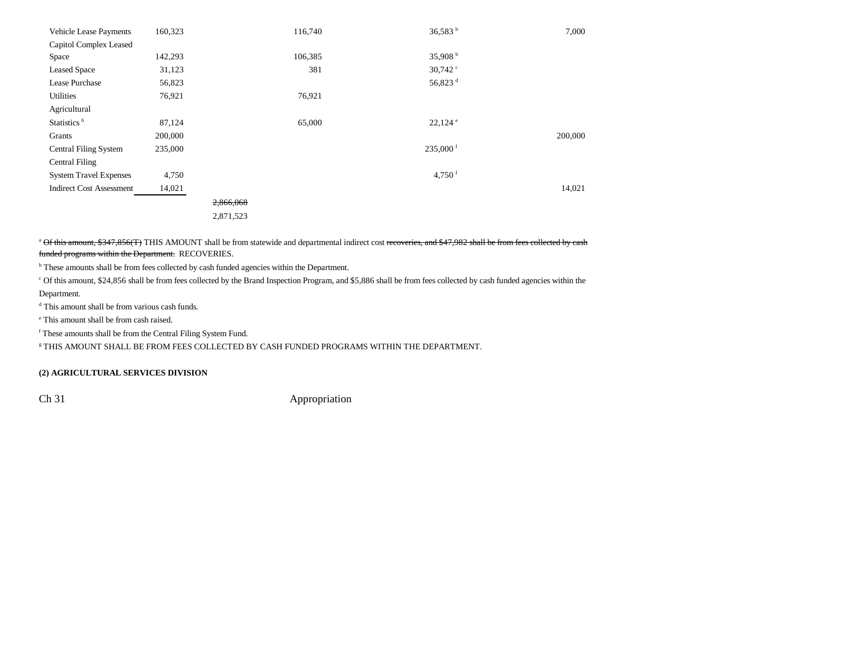| <b>Vehicle Lease Payments</b>   | 160,323 |           | 116,740 | 36,583 b               | 7,000   |
|---------------------------------|---------|-----------|---------|------------------------|---------|
| Capitol Complex Leased          |         |           |         |                        |         |
| Space                           | 142,293 |           | 106,385 | 35,908 $^{\rm b}$      |         |
| <b>Leased Space</b>             | 31,123  |           | 381     | 30,742 $\degree$       |         |
| Lease Purchase                  | 56,823  |           |         | 56,823 <sup>d</sup>    |         |
| Utilities                       | 76,921  |           | 76,921  |                        |         |
| Agricultural                    |         |           |         |                        |         |
| Statistics <sup>6</sup>         | 87,124  |           | 65,000  | $22,124$ $^{\circ}$    |         |
| Grants                          | 200,000 |           |         |                        | 200,000 |
| Central Filing System           | 235,000 |           |         | $235,000$ <sup>f</sup> |         |
| <b>Central Filing</b>           |         |           |         |                        |         |
| <b>System Travel Expenses</b>   | 4,750   |           |         | 4,750 $f$              |         |
| <b>Indirect Cost Assessment</b> | 14,021  |           |         |                        | 14,021  |
|                                 |         | 2,866,068 |         |                        |         |
|                                 |         | 2,871,523 |         |                        |         |

<sup>a</sup> Of this amount, \$347,856(T) THIS AMOUNT shall be from statewide and departmental indirect cost recoveries, and \$47,982 shall be from fees collected by cash funded programs within the Department. RECOVERIES.

<sup>b</sup> These amounts shall be from fees collected by cash funded agencies within the Department.

c Of this amount, \$24,856 shall be from fees collected by the Brand Inspection Program, and \$5,886 shall be from fees collected by cash funded agencies within the Department.

d This amount shall be from various cash funds.

e This amount shall be from cash raised.

f These amounts shall be from the Central Filing System Fund.

g THIS AMOUNT SHALL BE FROM FEES COLLECTED BY CASH FUNDED PROGRAMS WITHIN THE DEPARTMENT.

### **(2) AGRICULTURAL SERVICES DIVISION**

Ch 31 Appropriation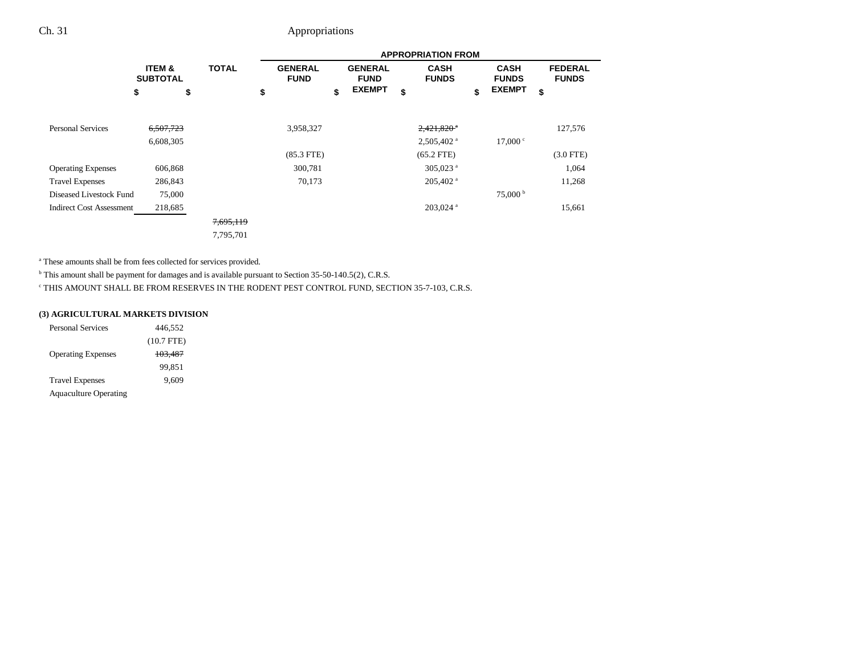# Ch. 31 Appropriations

|                                 |                                      |              |    | <b>APPROPRIATION FROM</b>     |    |                               |    |                             |    |                             |                                |  |
|---------------------------------|--------------------------------------|--------------|----|-------------------------------|----|-------------------------------|----|-----------------------------|----|-----------------------------|--------------------------------|--|
|                                 | <b>ITEM &amp;</b><br><b>SUBTOTAL</b> | <b>TOTAL</b> |    | <b>GENERAL</b><br><b>FUND</b> |    | <b>GENERAL</b><br><b>FUND</b> |    | <b>CASH</b><br><b>FUNDS</b> |    | <b>CASH</b><br><b>FUNDS</b> | <b>FEDERAL</b><br><b>FUNDS</b> |  |
|                                 | \$<br>\$                             |              | \$ |                               | \$ | <b>EXEMPT</b>                 | \$ |                             | \$ | <b>EXEMPT</b>               | \$                             |  |
|                                 |                                      |              |    |                               |    |                               |    |                             |    |                             |                                |  |
| <b>Personal Services</b>        | 6,507,723                            |              |    | 3,958,327                     |    |                               |    | $2,421,820$ <sup>*</sup>    |    |                             | 127,576                        |  |
|                                 | 6,608,305                            |              |    |                               |    |                               |    | $2,505,402$ <sup>a</sup>    |    | 17,000 °                    |                                |  |
|                                 |                                      |              |    | $(85.3$ FTE)                  |    |                               |    | $(65.2$ FTE)                |    |                             | $(3.0$ FTE)                    |  |
| <b>Operating Expenses</b>       | 606,868                              |              |    | 300,781                       |    |                               |    | 305,023 <sup>a</sup>        |    |                             | 1,064                          |  |
| <b>Travel Expenses</b>          | 286,843                              |              |    | 70,173                        |    |                               |    | $205,402$ <sup>a</sup>      |    |                             | 11,268                         |  |
| Diseased Livestock Fund         | 75,000                               |              |    |                               |    |                               |    |                             |    | $75,000^{\mathrm{b}}$       |                                |  |
| <b>Indirect Cost Assessment</b> | 218,685                              |              |    |                               |    |                               |    | $203,024$ <sup>a</sup>      |    |                             | 15,661                         |  |
|                                 |                                      | 7,695,119    |    |                               |    |                               |    |                             |    |                             |                                |  |
|                                 |                                      | 7,795,701    |    |                               |    |                               |    |                             |    |                             |                                |  |

a These amounts shall be from fees collected for services provided.

<sup>b</sup> This amount shall be payment for damages and is available pursuant to Section 35-50-140.5(2), C.R.S.

c THIS AMOUNT SHALL BE FROM RESERVES IN THE RODENT PEST CONTROL FUND, SECTION 35-7-103, C.R.S.

### **(3) AGRICULTURAL MARKETS DIVISION**

| <b>Personal Services</b>     | 446,552      |
|------------------------------|--------------|
|                              | $(10.7$ FTE) |
| <b>Operating Expenses</b>    | 103,487      |
|                              | 99.851       |
| <b>Travel Expenses</b>       | 9.609        |
| <b>Aquaculture Operating</b> |              |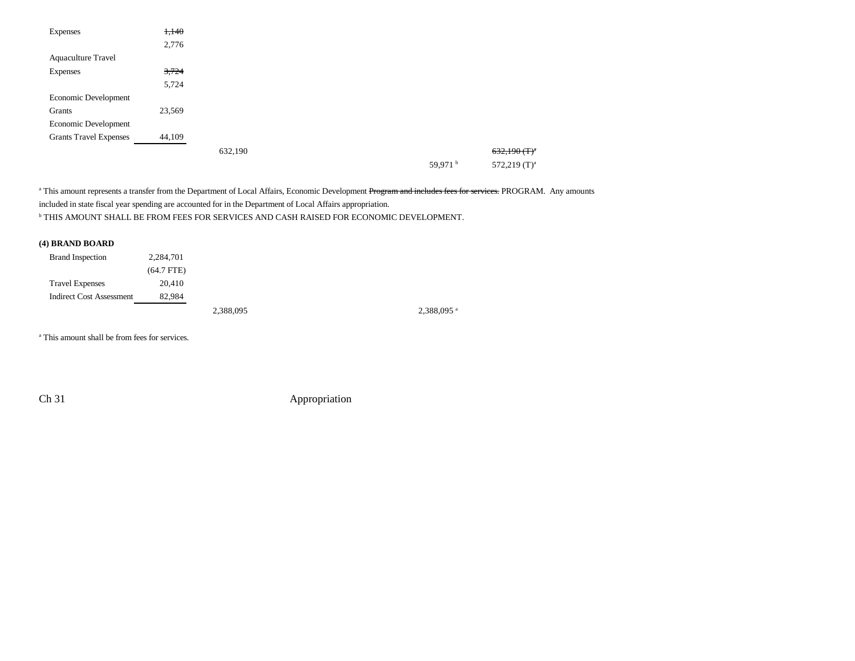| <b>Expenses</b>               | 1,140  |         |  |                     |                            |
|-------------------------------|--------|---------|--|---------------------|----------------------------|
|                               | 2,776  |         |  |                     |                            |
| <b>Aquaculture Travel</b>     |        |         |  |                     |                            |
| <b>Expenses</b>               | 3,724  |         |  |                     |                            |
|                               | 5,724  |         |  |                     |                            |
| Economic Development          |        |         |  |                     |                            |
| Grants                        | 23,569 |         |  |                     |                            |
| Economic Development          |        |         |  |                     |                            |
| <b>Grants Travel Expenses</b> | 44,109 |         |  |                     |                            |
|                               |        | 632,190 |  |                     | $632,190(T)^{a}$           |
|                               |        |         |  | 59,971 <sup>b</sup> | $572,219$ (T) <sup>a</sup> |

<sup>a</sup> This amount represents a transfer from the Department of Local Affairs, Economic Development Program and includes fees for services. PROGRAM. Any amounts included in state fiscal year spending are accounted for in the Department of Local Affairs appropriation.  $^{\rm b}$  THIS AMOUNT SHALL BE FROM FEES FOR SERVICES AND CASH RAISED FOR ECONOMIC DEVELOPMENT.

### **(4) BRAND BOARD**

| <b>Brand Inspection</b>         | 2,284,701    |           |           |
|---------------------------------|--------------|-----------|-----------|
|                                 | $(64.7$ FTE) |           |           |
| <b>Travel Expenses</b>          | 20.410       |           |           |
| <b>Indirect Cost Assessment</b> | 82.984       |           |           |
|                                 |              | 2,388,095 | 2,388,095 |

<sup>a</sup> This amount shall be from fees for services.

Ch 31 Appropriation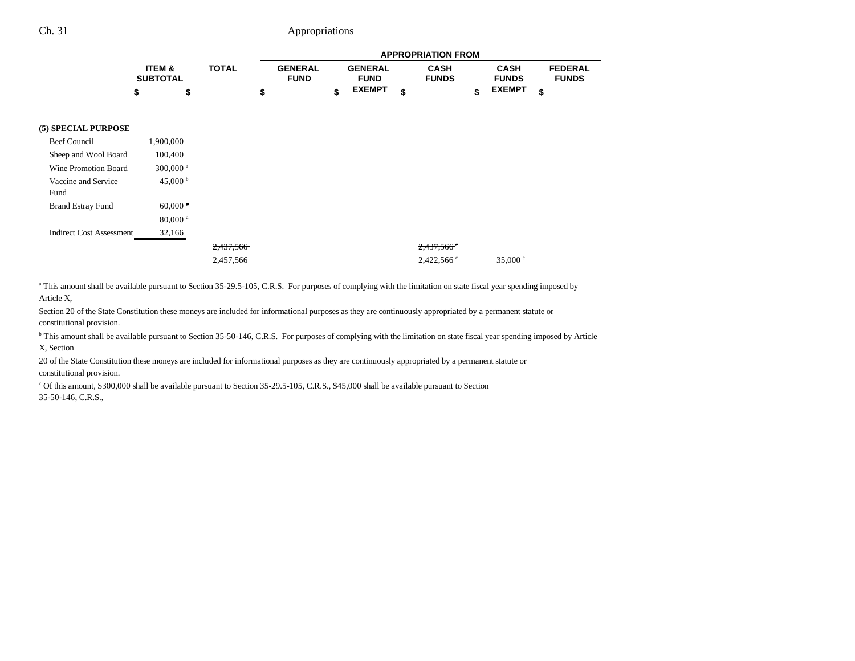## Ch. 31 Appropriations

|                 |       |                |                | <b>APPROPRIATION FROM</b> |               |                |
|-----------------|-------|----------------|----------------|---------------------------|---------------|----------------|
| ITEM &          | TOTAL | <b>GENERAL</b> | <b>GENERAL</b> | <b>CASH</b>               | <b>CASH</b>   | <b>FEDERAL</b> |
| <b>SUBTOTAL</b> |       | <b>FUND</b>    | <b>FUND</b>    | <b>FUNDS</b>              | <b>FUNDS</b>  | <b>FUNDS</b>   |
|                 |       |                | <b>EXEMPT</b>  |                           | <b>EXEMPT</b> |                |

#### **(5) SPECIAL PURPOSE**

| Beef Council                    | 1,900,000              |           |                          |                   |
|---------------------------------|------------------------|-----------|--------------------------|-------------------|
| Sheep and Wool Board            | 100,400                |           |                          |                   |
| Wine Promotion Board            | $300,000$ <sup>a</sup> |           |                          |                   |
| Vaccine and Service             | 45,000 $^{\rm b}$      |           |                          |                   |
| Fund                            |                        |           |                          |                   |
| <b>Brand Estray Fund</b>        | $60,000$ <sup>d</sup>  |           |                          |                   |
|                                 | $80,000$ <sup>d</sup>  |           |                          |                   |
| <b>Indirect Cost Assessment</b> | 32,166                 |           |                          |                   |
|                                 |                        | 2,437,566 | $2,437,566$ <sup>c</sup> |                   |
|                                 |                        | 2,457,566 | $2,422,566$ °            | 35,000 $^{\circ}$ |

<sup>a</sup> This amount shall be available pursuant to Section 35-29.5-105, C.R.S. For purposes of complying with the limitation on state fiscal year spending imposed by Article X,

Section 20 of the State Constitution these moneys are included for informational purposes as they are continuously appropriated by a permanent statute or constitutional provision.

<sup>b</sup> This amount shall be available pursuant to Section 35-50-146, C.R.S. For purposes of complying with the limitation on state fiscal year spending imposed by Article X, Section

20 of the State Constitution these moneys are included for informational purposes as they are continuously appropriated by a permanent statute or constitutional provision.

c Of this amount, \$300,000 shall be available pursuant to Section 35-29.5-105, C.R.S., \$45,000 shall be available pursuant to Section 35-50-146, C.R.S.,